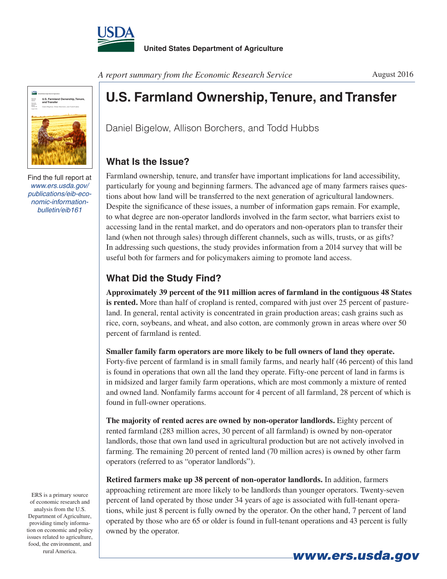



Find the full report at *www.ers.usda.gov/ publications/eib-economic-informationbulletin/eib161*

*A report summary from the Economic Research Service*

## **U.S. Farmland Ownership, Tenure, and Transfer**

Daniel Bigelow, Allison Borchers, and Todd Hubbs

## **What Is the Issue?**

Farmland ownership, tenure, and transfer have important implications for land accessibility, particularly for young and beginning farmers. The advanced age of many farmers raises questions about how land will be transferred to the next generation of agricultural landowners. Despite the significance of these issues, a number of information gaps remain. For example, to what degree are non-operator landlords involved in the farm sector, what barriers exist to accessing land in the rental market, and do operators and non-operators plan to transfer their land (when not through sales) through different channels, such as wills, trusts, or as gifts? In addressing such questions, the study provides information from a 2014 survey that will be useful both for farmers and for policymakers aiming to promote land access.

## **What Did the Study Find?**

**Approximately 39 percent of the 911 million acres of farmland in the contiguous 48 States is rented.** More than half of cropland is rented, compared with just over 25 percent of pastureland. In general, rental activity is concentrated in grain production areas; cash grains such as rice, corn, soybeans, and wheat, and also cotton, are commonly grown in areas where over 50 percent of farmland is rented.

**Smaller family farm operators are more likely to be full owners of land they operate.** Forty-five percent of farmland is in small family farms, and nearly half (46 percent) of this land is found in operations that own all the land they operate. Fifty-one percent of land in farms is in midsized and larger family farm operations, which are most commonly a mixture of rented and owned land. Nonfamily farms account for 4 percent of all farmland, 28 percent of which is found in full-owner operations.

**The majority of rented acres are owned by non-operator landlords.** Eighty percent of rented farmland (283 million acres, 30 percent of all farmland) is owned by non-operator landlords, those that own land used in agricultural production but are not actively involved in farming. The remaining 20 percent of rented land (70 million acres) is owned by other farm operators (referred to as "operator landlords").

**Retired farmers make up 38 percent of non-operator landlords.** In addition, farmers approaching retirement are more likely to be landlords than younger operators. Twenty-seven percent of land operated by those under 34 years of age is associated with full-tenant operations, while just 8 percent is fully owned by the operator. On the other hand, 7 percent of land operated by those who are 65 or older is found in full-tenant operations and 43 percent is fully owned by the operator.

ERS is a primary source of economic research and analysis from the U.S. Department of Agriculture, providing timely information on economic and policy issues related to agriculture, food, the environment, and



August 2016